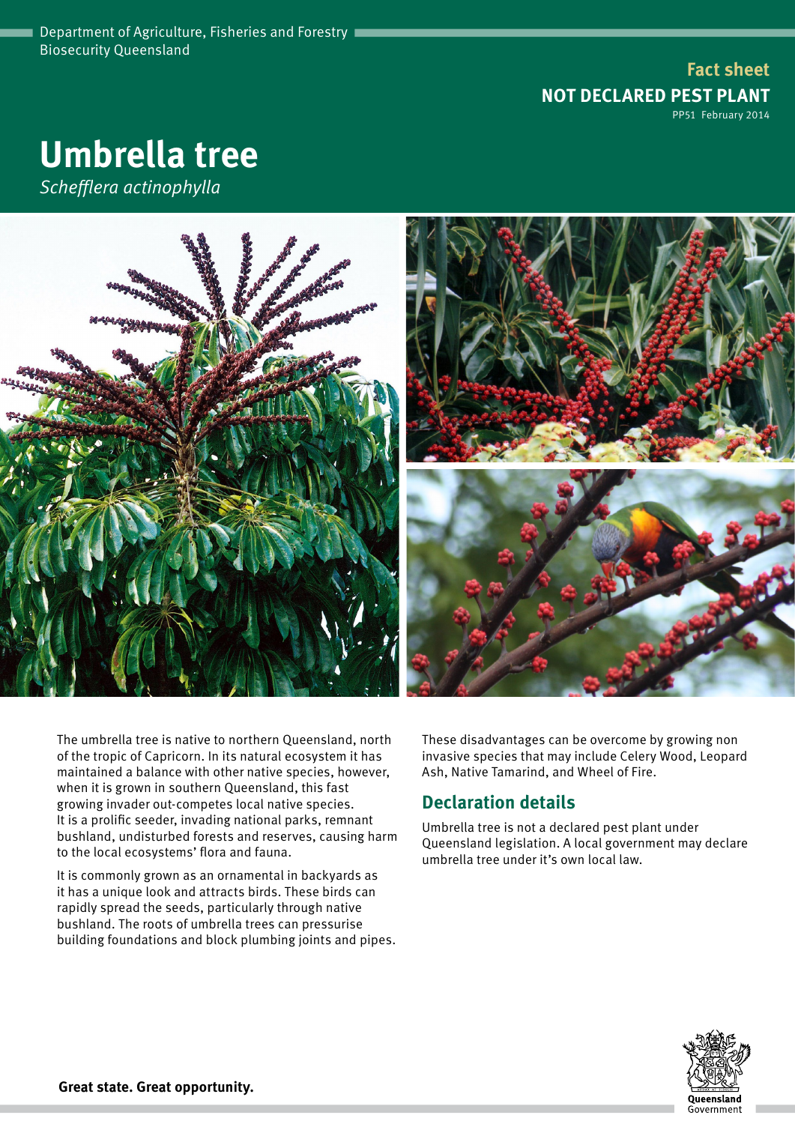**Fact sheet NOT DECLARED PEST PLANT** PP51 February 2014

# **Umbrella tree**

*Schefflera actinophylla*



The umbrella tree is native to northern Queensland, north of the tropic of Capricorn. In its natural ecosystem it has maintained a balance with other native species, however, when it is grown in southern Queensland, this fast growing invader out-competes local native species. It is a prolific seeder, invading national parks, remnant bushland, undisturbed forests and reserves, causing harm to the local ecosystems' flora and fauna.

It is commonly grown as an ornamental in backyards as it has a unique look and attracts birds. These birds can rapidly spread the seeds, particularly through native bushland. The roots of umbrella trees can pressurise building foundations and block plumbing joints and pipes. These disadvantages can be overcome by growing non invasive species that may include Celery Wood, Leopard Ash, Native Tamarind, and Wheel of Fire.

## **Declaration details**

Umbrella tree is not a declared pest plant under Queensland legislation. A local government may declare umbrella tree under it's own local law.